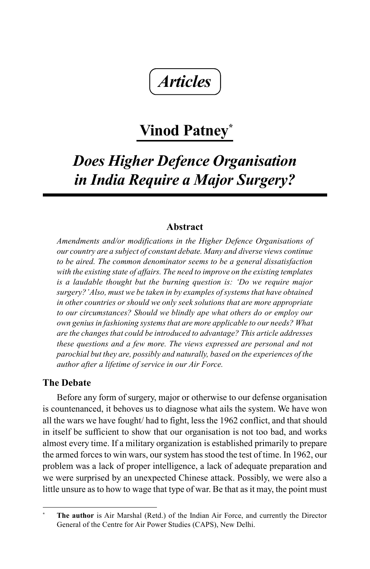*Articles*

# **Vinod Patney\***

# *Does Higher Defence Organisation in India Require a Major Surgery?*

# **Abstract**

*Amendments and/or modifications in the Higher Defence Organisations of our country are a subject of constant debate. Many and diverse views continue to be aired. The common denominator seems to be a general dissatisfaction with the existing state of affairs. The need to improve on the existing templates is a laudable thought but the burning question is: 'Do we require major surgery?' Also, must we be taken in by examples of systems that have obtained in other countries or should we only seek solutions that are more appropriate to our circumstances? Should we blindly ape what others do or employ our own genius in fashioning systems that are more applicable to our needs? What are the changes that could be introduced to advantage? This article addresses these questions and a few more. The views expressed are personal and not parochial but they are, possibly and naturally, based on the experiences of the author after a lifetime of service in our Air Force.*

# **The Debate**

Before any form of surgery, major or otherwise to our defense organisation is countenanced, it behoves us to diagnose what ails the system. We have won all the wars we have fought/ had to fight, less the 1962 conflict, and that should in itself be sufficient to show that our organisation is not too bad, and works almost every time. If a military organization is established primarily to prepare the armed forces to win wars, our system has stood the test of time. In 1962, our problem was a lack of proper intelligence, a lack of adequate preparation and we were surprised by an unexpected Chinese attack. Possibly, we were also a little unsure as to how to wage that type of war. Be that as it may, the point must

**<sup>\*</sup> The author** is Air Marshal (Retd.) of the Indian Air Force, and currently the Director General of the Centre for Air Power Studies (CAPS), New Delhi.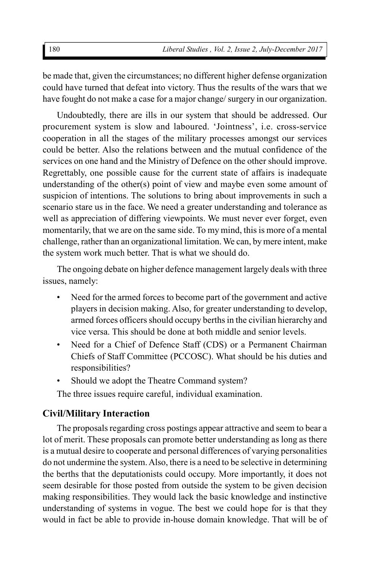be made that, given the circumstances; no different higher defense organization could have turned that defeat into victory. Thus the results of the wars that we have fought do not make a case for a major change/ surgery in our organization.

Undoubtedly, there are ills in our system that should be addressed. Our procurement system is slow and laboured. 'Jointness', i.e. cross-service cooperation in all the stages of the military processes amongst our services could be better. Also the relations between and the mutual confidence of the services on one hand and the Ministry of Defence on the other should improve. Regrettably, one possible cause for the current state of affairs is inadequate understanding of the other(s) point of view and maybe even some amount of suspicion of intentions. The solutions to bring about improvements in such a scenario stare us in the face. We need a greater understanding and tolerance as well as appreciation of differing viewpoints. We must never ever forget, even momentarily, that we are on the same side. To my mind, this is more of a mental challenge, rather than an organizational limitation. We can, by mere intent, make the system work much better. That is what we should do.

The ongoing debate on higher defence management largely deals with three issues, namely:

- Need for the armed forces to become part of the government and active players in decision making. Also, for greater understanding to develop, armed forces officers should occupy berths in the civilian hierarchy and vice versa. This should be done at both middle and senior levels.
- Need for a Chief of Defence Staff (CDS) or a Permanent Chairman Chiefs of Staff Committee (PCCOSC). What should be his duties and responsibilities?
- Should we adopt the Theatre Command system?

The three issues require careful, individual examination.

# **Civil/Military Interaction**

The proposals regarding cross postings appear attractive and seem to bear a lot of merit. These proposals can promote better understanding as long as there is a mutual desire to cooperate and personal differences of varying personalities do not undermine the system. Also, there is a need to be selective in determining the berths that the deputationists could occupy. More importantly, it does not seem desirable for those posted from outside the system to be given decision making responsibilities. They would lack the basic knowledge and instinctive understanding of systems in vogue. The best we could hope for is that they would in fact be able to provide in-house domain knowledge. That will be of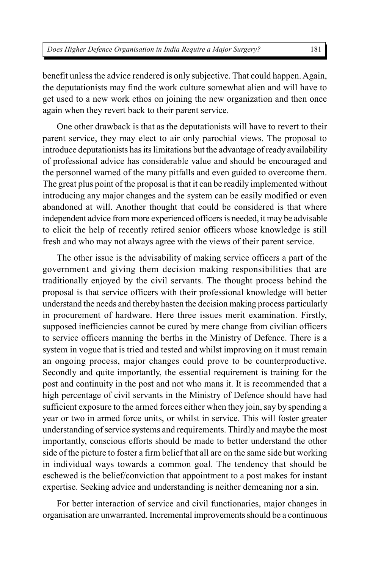benefit unless the advice rendered is only subjective. That could happen. Again, the deputationists may find the work culture somewhat alien and will have to get used to a new work ethos on joining the new organization and then once again when they revert back to their parent service.

One other drawback is that as the deputationists will have to revert to their parent service, they may elect to air only parochial views. The proposal to introduce deputationists has its limitations but the advantage of ready availability of professional advice has considerable value and should be encouraged and the personnel warned of the many pitfalls and even guided to overcome them. The great plus point of the proposal is that it can be readily implemented without introducing any major changes and the system can be easily modified or even abandoned at will. Another thought that could be considered is that where independent advice from more experienced officers is needed, it may be advisable to elicit the help of recently retired senior officers whose knowledge is still fresh and who may not always agree with the views of their parent service.

The other issue is the advisability of making service officers a part of the government and giving them decision making responsibilities that are traditionally enjoyed by the civil servants. The thought process behind the proposal is that service officers with their professional knowledge will better understand the needs and thereby hasten the decision making process particularly in procurement of hardware. Here three issues merit examination. Firstly, supposed inefficiencies cannot be cured by mere change from civilian officers to service officers manning the berths in the Ministry of Defence. There is a system in vogue that is tried and tested and whilst improving on it must remain an ongoing process, major changes could prove to be counterproductive. Secondly and quite importantly, the essential requirement is training for the post and continuity in the post and not who mans it. It is recommended that a high percentage of civil servants in the Ministry of Defence should have had sufficient exposure to the armed forces either when they join, say by spending a year or two in armed force units, or whilst in service. This will foster greater understanding of service systems and requirements. Thirdly and maybe the most importantly, conscious efforts should be made to better understand the other side of the picture to foster a firm belief that all are on the same side but working in individual ways towards a common goal. The tendency that should be eschewed is the belief/conviction that appointment to a post makes for instant expertise. Seeking advice and understanding is neither demeaning nor a sin.

For better interaction of service and civil functionaries, major changes in organisation are unwarranted. Incremental improvements should be a continuous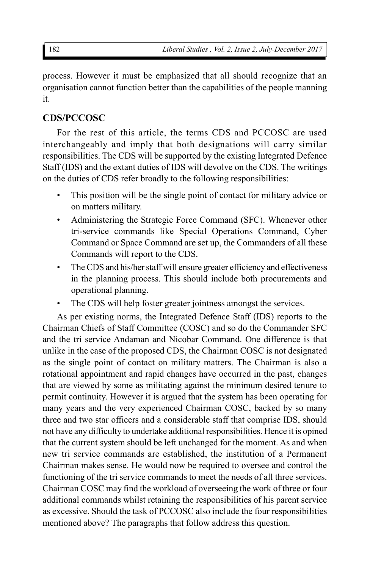process. However it must be emphasized that all should recognize that an organisation cannot function better than the capabilities of the people manning it.

# **CDS/PCCOSC**

For the rest of this article, the terms CDS and PCCOSC are used interchangeably and imply that both designations will carry similar responsibilities. The CDS will be supported by the existing Integrated Defence Staff (IDS) and the extant duties of IDS will devolve on the CDS. The writings on the duties of CDS refer broadly to the following responsibilities:

- This position will be the single point of contact for military advice or on matters military.
- Administering the Strategic Force Command (SFC). Whenever other tri-service commands like Special Operations Command, Cyber Command or Space Command are set up, the Commanders of all these Commands will report to the CDS.
- The CDS and his/her staff will ensure greater efficiency and effectiveness in the planning process. This should include both procurements and operational planning.
- The CDS will help foster greater jointness amongst the services.

As per existing norms, the Integrated Defence Staff (IDS) reports to the Chairman Chiefs of Staff Committee (COSC) and so do the Commander SFC and the tri service Andaman and Nicobar Command. One difference is that unlike in the case of the proposed CDS, the Chairman COSC is not designated as the single point of contact on military matters. The Chairman is also a rotational appointment and rapid changes have occurred in the past, changes that are viewed by some as militating against the minimum desired tenure to permit continuity. However it is argued that the system has been operating for many years and the very experienced Chairman COSC, backed by so many three and two star officers and a considerable staff that comprise IDS, should not have any difficulty to undertake additional responsibilities. Hence it is opined that the current system should be left unchanged for the moment. As and when new tri service commands are established, the institution of a Permanent Chairman makes sense. He would now be required to oversee and control the functioning of the tri service commands to meet the needs of all three services. Chairman COSC may find the workload of overseeing the work of three or four additional commands whilst retaining the responsibilities of his parent service as excessive. Should the task of PCCOSC also include the four responsibilities mentioned above? The paragraphs that follow address this question.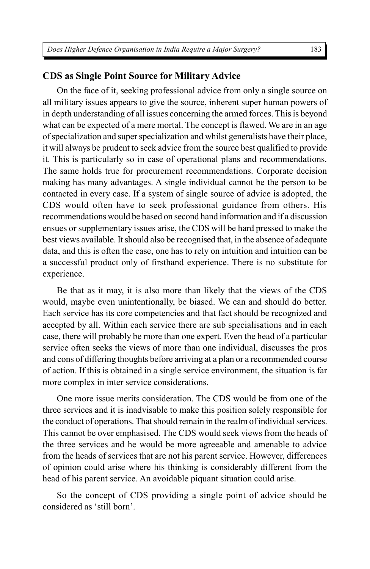# **CDS as Single Point Source for Military Advice**

On the face of it, seeking professional advice from only a single source on all military issues appears to give the source, inherent super human powers of in depth understanding of all issues concerning the armed forces. This is beyond what can be expected of a mere mortal. The concept is flawed. We are in an age of specialization and super specialization and whilst generalists have their place, it will always be prudent to seek advice from the source best qualified to provide it. This is particularly so in case of operational plans and recommendations. The same holds true for procurement recommendations. Corporate decision making has many advantages. A single individual cannot be the person to be contacted in every case. If a system of single source of advice is adopted, the CDS would often have to seek professional guidance from others. His recommendations would be based on second hand information and if a discussion ensues or supplementary issues arise, the CDS will be hard pressed to make the best views available. It should also be recognised that, in the absence of adequate data, and this is often the case, one has to rely on intuition and intuition can be a successful product only of firsthand experience. There is no substitute for experience.

Be that as it may, it is also more than likely that the views of the CDS would, maybe even unintentionally, be biased. We can and should do better. Each service has its core competencies and that fact should be recognized and accepted by all. Within each service there are sub specialisations and in each case, there will probably be more than one expert. Even the head of a particular service often seeks the views of more than one individual, discusses the pros and cons of differing thoughts before arriving at a plan or a recommended course of action. If this is obtained in a single service environment, the situation is far more complex in inter service considerations.

One more issue merits consideration. The CDS would be from one of the three services and it is inadvisable to make this position solely responsible for the conduct of operations. That should remain in the realm of individual services. This cannot be over emphasised. The CDS would seek views from the heads of the three services and he would be more agreeable and amenable to advice from the heads of services that are not his parent service. However, differences of opinion could arise where his thinking is considerably different from the head of his parent service. An avoidable piquant situation could arise.

So the concept of CDS providing a single point of advice should be considered as 'still born'.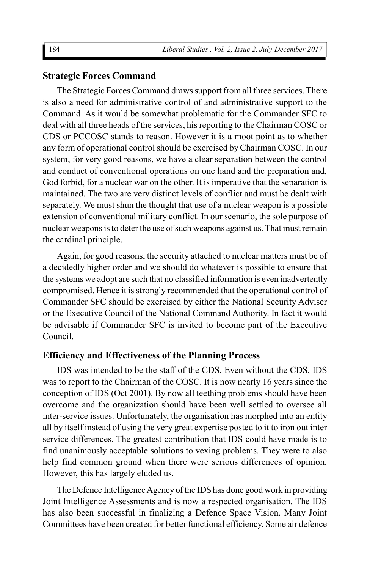#### **Strategic Forces Command**

The Strategic Forces Command draws support from all three services. There is also a need for administrative control of and administrative support to the Command. As it would be somewhat problematic for the Commander SFC to deal with all three heads of the services, his reporting to the Chairman COSC or CDS or PCCOSC stands to reason. However it is a moot point as to whether any form of operational control should be exercised by Chairman COSC. In our system, for very good reasons, we have a clear separation between the control and conduct of conventional operations on one hand and the preparation and, God forbid, for a nuclear war on the other. It is imperative that the separation is maintained. The two are very distinct levels of conflict and must be dealt with separately. We must shun the thought that use of a nuclear weapon is a possible extension of conventional military conflict. In our scenario, the sole purpose of nuclear weapons is to deter the use of such weapons against us. That must remain the cardinal principle.

Again, for good reasons, the security attached to nuclear matters must be of a decidedly higher order and we should do whatever is possible to ensure that the systems we adopt are such that no classified information is even inadvertently compromised. Hence it is strongly recommended that the operational control of Commander SFC should be exercised by either the National Security Adviser or the Executive Council of the National Command Authority. In fact it would be advisable if Commander SFC is invited to become part of the Executive Council.

#### **Efficiency and Effectiveness of the Planning Process**

IDS was intended to be the staff of the CDS. Even without the CDS, IDS was to report to the Chairman of the COSC. It is now nearly 16 years since the conception of IDS (Oct 2001). By now all teething problems should have been overcome and the organization should have been well settled to oversee all inter-service issues. Unfortunately, the organisation has morphed into an entity all by itself instead of using the very great expertise posted to it to iron out inter service differences. The greatest contribution that IDS could have made is to find unanimously acceptable solutions to vexing problems. They were to also help find common ground when there were serious differences of opinion. However, this has largely eluded us.

The Defence Intelligence Agency of the IDS has done good work in providing Joint Intelligence Assessments and is now a respected organisation. The IDS has also been successful in finalizing a Defence Space Vision. Many Joint Committees have been created for better functional efficiency. Some air defence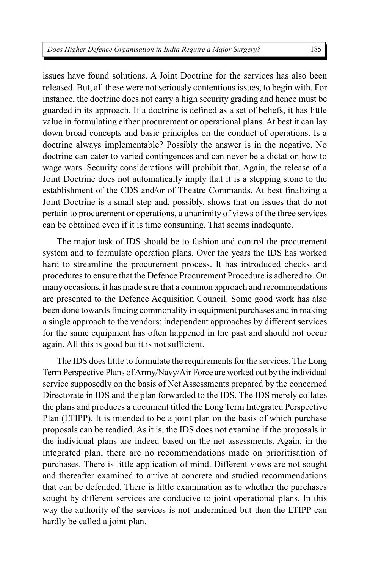issues have found solutions. A Joint Doctrine for the services has also been released. But, all these were not seriously contentious issues, to begin with. For instance, the doctrine does not carry a high security grading and hence must be guarded in its approach. If a doctrine is defined as a set of beliefs, it has little value in formulating either procurement or operational plans. At best it can lay down broad concepts and basic principles on the conduct of operations. Is a doctrine always implementable? Possibly the answer is in the negative. No doctrine can cater to varied contingences and can never be a dictat on how to wage wars. Security considerations will prohibit that. Again, the release of a Joint Doctrine does not automatically imply that it is a stepping stone to the establishment of the CDS and/or of Theatre Commands. At best finalizing a Joint Doctrine is a small step and, possibly, shows that on issues that do not pertain to procurement or operations, a unanimity of views of the three services can be obtained even if it is time consuming. That seems inadequate.

The major task of IDS should be to fashion and control the procurement system and to formulate operation plans. Over the years the IDS has worked hard to streamline the procurement process. It has introduced checks and procedures to ensure that the Defence Procurement Procedure is adhered to. On many occasions, it has made sure that a common approach and recommendations are presented to the Defence Acquisition Council. Some good work has also been done towards finding commonality in equipment purchases and in making a single approach to the vendors; independent approaches by different services for the same equipment has often happened in the past and should not occur again. All this is good but it is not sufficient.

The IDS does little to formulate the requirements for the services. The Long Term Perspective Plans of Army/Navy/Air Force are worked out by the individual service supposedly on the basis of Net Assessments prepared by the concerned Directorate in IDS and the plan forwarded to the IDS. The IDS merely collates the plans and produces a document titled the Long Term Integrated Perspective Plan (LTIPP). It is intended to be a joint plan on the basis of which purchase proposals can be readied. As it is, the IDS does not examine if the proposals in the individual plans are indeed based on the net assessments. Again, in the integrated plan, there are no recommendations made on prioritisation of purchases. There is little application of mind. Different views are not sought and thereafter examined to arrive at concrete and studied recommendations that can be defended. There is little examination as to whether the purchases sought by different services are conducive to joint operational plans. In this way the authority of the services is not undermined but then the LTIPP can hardly be called a joint plan.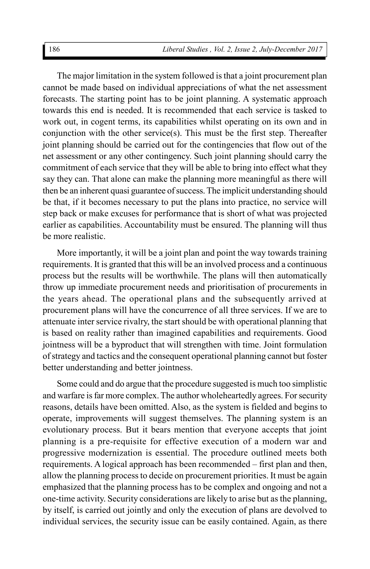The major limitation in the system followed is that a joint procurement plan cannot be made based on individual appreciations of what the net assessment forecasts. The starting point has to be joint planning. A systematic approach towards this end is needed. It is recommended that each service is tasked to work out, in cogent terms, its capabilities whilst operating on its own and in conjunction with the other service(s). This must be the first step. Thereafter joint planning should be carried out for the contingencies that flow out of the net assessment or any other contingency. Such joint planning should carry the commitment of each service that they will be able to bring into effect what they say they can. That alone can make the planning more meaningful as there will then be an inherent quasi guarantee of success. The implicit understanding should be that, if it becomes necessary to put the plans into practice, no service will step back or make excuses for performance that is short of what was projected earlier as capabilities. Accountability must be ensured. The planning will thus be more realistic.

More importantly, it will be a joint plan and point the way towards training requirements. It is granted that this will be an involved process and a continuous process but the results will be worthwhile. The plans will then automatically throw up immediate procurement needs and prioritisation of procurements in the years ahead. The operational plans and the subsequently arrived at procurement plans will have the concurrence of all three services. If we are to attenuate inter service rivalry, the start should be with operational planning that is based on reality rather than imagined capabilities and requirements. Good jointness will be a byproduct that will strengthen with time. Joint formulation of strategy and tactics and the consequent operational planning cannot but foster better understanding and better jointness.

Some could and do argue that the procedure suggested is much too simplistic and warfare is far more complex. The author wholeheartedly agrees. For security reasons, details have been omitted. Also, as the system is fielded and begins to operate, improvements will suggest themselves. The planning system is an evolutionary process. But it bears mention that everyone accepts that joint planning is a pre-requisite for effective execution of a modern war and progressive modernization is essential. The procedure outlined meets both requirements. A logical approach has been recommended – first plan and then, allow the planning process to decide on procurement priorities. It must be again emphasized that the planning process has to be complex and ongoing and not a one-time activity. Security considerations are likely to arise but as the planning, by itself, is carried out jointly and only the execution of plans are devolved to individual services, the security issue can be easily contained. Again, as there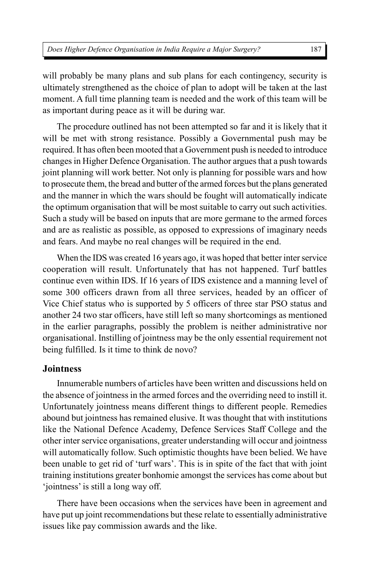will probably be many plans and sub plans for each contingency, security is ultimately strengthened as the choice of plan to adopt will be taken at the last moment. A full time planning team is needed and the work of this team will be as important during peace as it will be during war.

The procedure outlined has not been attempted so far and it is likely that it will be met with strong resistance. Possibly a Governmental push may be required. It has often been mooted that a Government push is needed to introduce changes in Higher Defence Organisation. The author argues that a push towards joint planning will work better. Not only is planning for possible wars and how to prosecute them, the bread and butter of the armed forces but the plans generated and the manner in which the wars should be fought will automatically indicate the optimum organisation that will be most suitable to carry out such activities. Such a study will be based on inputs that are more germane to the armed forces and are as realistic as possible, as opposed to expressions of imaginary needs and fears. And maybe no real changes will be required in the end.

When the IDS was created 16 years ago, it was hoped that better inter service cooperation will result. Unfortunately that has not happened. Turf battles continue even within IDS. If 16 years of IDS existence and a manning level of some 300 officers drawn from all three services, headed by an officer of Vice Chief status who is supported by 5 officers of three star PSO status and another 24 two star officers, have still left so many shortcomings as mentioned in the earlier paragraphs, possibly the problem is neither administrative nor organisational. Instilling of jointness may be the only essential requirement not being fulfilled. Is it time to think de novo?

# **Jointness**

Innumerable numbers of articles have been written and discussions held on the absence of jointness in the armed forces and the overriding need to instill it. Unfortunately jointness means different things to different people. Remedies abound but jointness has remained elusive. It was thought that with institutions like the National Defence Academy, Defence Services Staff College and the other inter service organisations, greater understanding will occur and jointness will automatically follow. Such optimistic thoughts have been belied. We have been unable to get rid of 'turf wars'. This is in spite of the fact that with joint training institutions greater bonhomie amongst the services has come about but 'jointness' is still a long way off.

There have been occasions when the services have been in agreement and have put up joint recommendations but these relate to essentially administrative issues like pay commission awards and the like.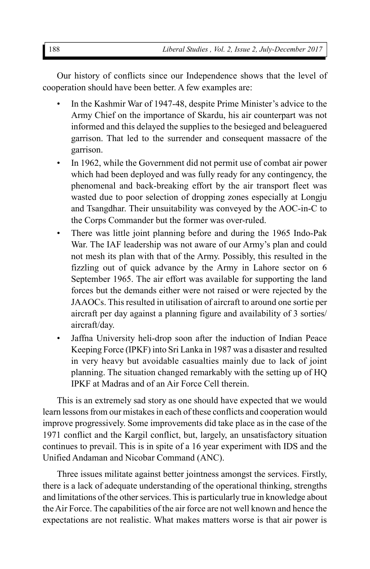Our history of conflicts since our Independence shows that the level of cooperation should have been better. A few examples are:

- In the Kashmir War of 1947-48, despite Prime Minister's advice to the Army Chief on the importance of Skardu, his air counterpart was not informed and this delayed the supplies to the besieged and beleaguered garrison. That led to the surrender and consequent massacre of the garrison.
- In 1962, while the Government did not permit use of combat air power which had been deployed and was fully ready for any contingency, the phenomenal and back-breaking effort by the air transport fleet was wasted due to poor selection of dropping zones especially at Longju and Tsangdhar. Their unsuitability was conveyed by the AOC-in-C to the Corps Commander but the former was over-ruled.
- There was little joint planning before and during the 1965 Indo-Pak War. The IAF leadership was not aware of our Army's plan and could not mesh its plan with that of the Army. Possibly, this resulted in the fizzling out of quick advance by the Army in Lahore sector on 6 September 1965. The air effort was available for supporting the land forces but the demands either were not raised or were rejected by the JAAOCs. This resulted in utilisation of aircraft to around one sortie per aircraft per day against a planning figure and availability of 3 sorties/ aircraft/day.
- Jaffna University heli-drop soon after the induction of Indian Peace Keeping Force (IPKF) into Sri Lanka in 1987 was a disaster and resulted in very heavy but avoidable casualties mainly due to lack of joint planning. The situation changed remarkably with the setting up of HQ IPKF at Madras and of an Air Force Cell therein.

This is an extremely sad story as one should have expected that we would learn lessons from our mistakes in each of these conflicts and cooperation would improve progressively. Some improvements did take place as in the case of the 1971 conflict and the Kargil conflict, but, largely, an unsatisfactory situation continues to prevail. This is in spite of a 16 year experiment with IDS and the Unified Andaman and Nicobar Command (ANC).

Three issues militate against better jointness amongst the services. Firstly, there is a lack of adequate understanding of the operational thinking, strengths and limitations of the other services. This is particularly true in knowledge about the Air Force. The capabilities of the air force are not well known and hence the expectations are not realistic. What makes matters worse is that air power is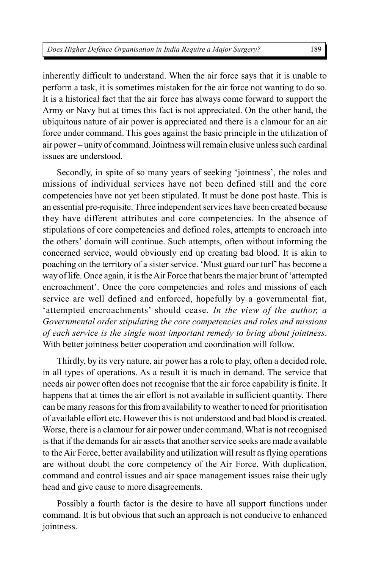inherently difficult to understand. When the air force says that it is unable to perform a task, it is sometimes mistaken for the air force not wanting to do so. It is a historical fact that the air force has always come forward to support the Army or Navy but at times this fact is not appreciated. On the other hand, the ubiquitous nature of air power is appreciated and there is a clamour for an air force under command. This goes against the basic principle in the utilization of air power – unity of command. Jointness will remain elusive unless such cardinal issues are understood.

Secondly, in spite of so many years of seeking 'jointness', the roles and missions of individual services have not been defined still and the core competencies have not yet been stipulated. It must be done post haste. This is an essential pre-requisite. Three independent services have been created because they have different attributes and core competencies. In the absence of stipulations of core competencies and defined roles, attempts to encroach into the others' domain will continue. Such attempts, often without informing the concerned service, would obviously end up creating bad blood. It is akin to poaching on the territory of a sister service. 'Must guard our turf' has become a way of life. Once again, it is the Air Force that bears the major brunt of 'attempted encroachment'. Once the core competencies and roles and missions of each service are well defined and enforced, hopefully by a governmental fiat, 'attempted encroachments' should cease. *In the view of the author, a Governmental order stipulating the core competencies and roles and missions of each service is the single most important remedy to bring about jointness*. With better jointness better cooperation and coordination will follow.

Thirdly, by its very nature, air power has a role to play, often a decided role, in all types of operations. As a result it is much in demand. The service that needs air power often does not recognise that the air force capability is finite. It happens that at times the air effort is not available in sufficient quantity. There can be many reasons for this from availability to weather to need for prioritisation of available effort etc. However this is not understood and bad blood is created. Worse, there is a clamour for air power under command. What is not recognised is that if the demands for air assets that another service seeks are made available to the Air Force, better availability and utilization will result as flying operations are without doubt the core competency of the Air Force. With duplication, command and control issues and air space management issues raise their ugly head and give cause to more disagreements.

Possibly a fourth factor is the desire to have all support functions under command. It is but obvious that such an approach is not conducive to enhanced jointness.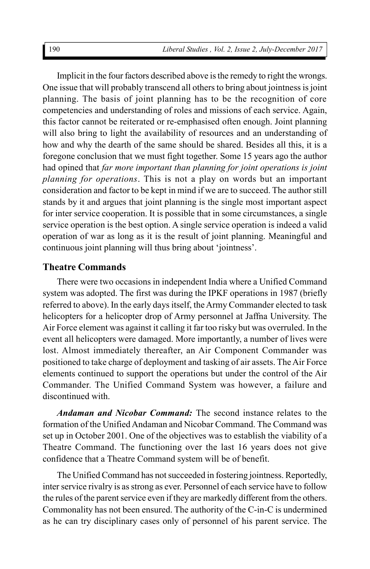Implicit in the four factors described above is the remedy to right the wrongs. One issue that will probably transcend all others to bring about jointness is joint planning. The basis of joint planning has to be the recognition of core competencies and understanding of roles and missions of each service. Again, this factor cannot be reiterated or re-emphasised often enough. Joint planning will also bring to light the availability of resources and an understanding of how and why the dearth of the same should be shared. Besides all this, it is a foregone conclusion that we must fight together. Some 15 years ago the author had opined that *far more important than planning for joint operations is joint planning for operations*. This is not a play on words but an important consideration and factor to be kept in mind if we are to succeed. The author still stands by it and argues that joint planning is the single most important aspect for inter service cooperation. It is possible that in some circumstances, a single service operation is the best option. A single service operation is indeed a valid operation of war as long as it is the result of joint planning. Meaningful and continuous joint planning will thus bring about 'jointness'.

### **Theatre Commands**

There were two occasions in independent India where a Unified Command system was adopted. The first was during the IPKF operations in 1987 (briefly referred to above). In the early days itself, the Army Commander elected to task helicopters for a helicopter drop of Army personnel at Jaffna University. The Air Force element was against it calling it far too risky but was overruled. In the event all helicopters were damaged. More importantly, a number of lives were lost. Almost immediately thereafter, an Air Component Commander was positioned to take charge of deployment and tasking of air assets. The Air Force elements continued to support the operations but under the control of the Air Commander. The Unified Command System was however, a failure and discontinued with.

*Andaman and Nicobar Command:* The second instance relates to the formation of the Unified Andaman and Nicobar Command. The Command was set up in October 2001. One of the objectives was to establish the viability of a Theatre Command. The functioning over the last 16 years does not give confidence that a Theatre Command system will be of benefit.

The Unified Command has not succeeded in fostering jointness. Reportedly, inter service rivalry is as strong as ever. Personnel of each service have to follow the rules of the parent service even if they are markedly different from the others. Commonality has not been ensured. The authority of the C-in-C is undermined as he can try disciplinary cases only of personnel of his parent service. The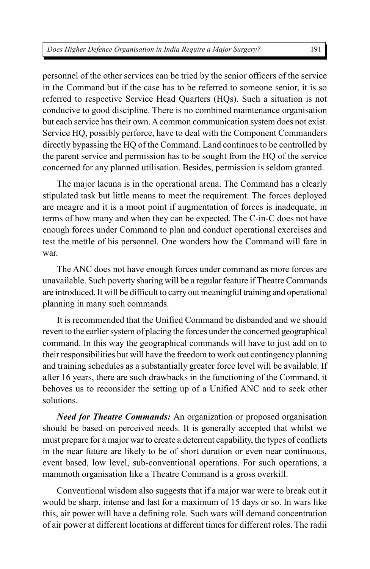personnel of the other services can be tried by the senior officers of the service in the Command but if the case has to be referred to someone senior, it is so referred to respective Service Head Quarters (HQs). Such a situation is not conducive to good discipline. There is no combined maintenance organisation but each service has their own. A common communication system does not exist. Service HQ, possibly perforce, have to deal with the Component Commanders directly bypassing the HQ of the Command. Land continues to be controlled by the parent service and permission has to be sought from the HQ of the service concerned for any planned utilisation. Besides, permission is seldom granted.

The major lacuna is in the operational arena. The Command has a clearly stipulated task but little means to meet the requirement. The forces deployed are meagre and it is a moot point if augmentation of forces is inadequate, in terms of how many and when they can be expected. The C-in-C does not have enough forces under Command to plan and conduct operational exercises and test the mettle of his personnel. One wonders how the Command will fare in war.

The ANC does not have enough forces under command as more forces are unavailable. Such poverty sharing will be a regular feature if Theatre Commands are introduced. It will be difficult to carry out meaningful training and operational planning in many such commands.

It is recommended that the Unified Command be disbanded and we should revert to the earlier system of placing the forces under the concerned geographical command. In this way the geographical commands will have to just add on to their responsibilities but will have the freedom to work out contingency planning and training schedules as a substantially greater force level will be available. If after 16 years, there are such drawbacks in the functioning of the Command, it behoves us to reconsider the setting up of a Unified ANC and to seek other solutions.

*Need for Theatre Commands:* An organization or proposed organisation should be based on perceived needs. It is generally accepted that whilst we must prepare for a major war to create a deterrent capability, the types of conflicts in the near future are likely to be of short duration or even near continuous, event based, low level, sub-conventional operations. For such operations, a mammoth organisation like a Theatre Command is a gross overkill.

Conventional wisdom also suggests that if a major war were to break out it would be sharp, intense and last for a maximum of 15 days or so. In wars like this, air power will have a defining role. Such wars will demand concentration of air power at different locations at different times for different roles. The radii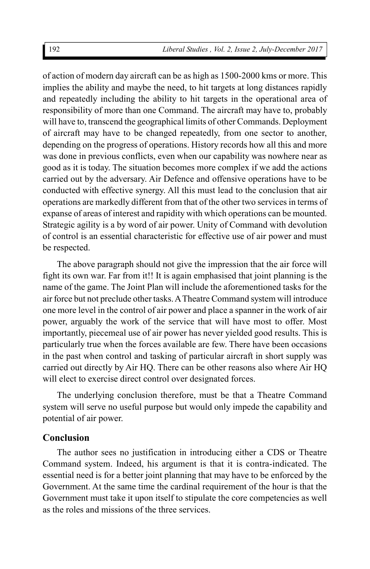of action of modern day aircraft can be as high as 1500-2000 kms or more. This implies the ability and maybe the need, to hit targets at long distances rapidly and repeatedly including the ability to hit targets in the operational area of responsibility of more than one Command. The aircraft may have to, probably will have to, transcend the geographical limits of other Commands. Deployment of aircraft may have to be changed repeatedly, from one sector to another, depending on the progress of operations. History records how all this and more was done in previous conflicts, even when our capability was nowhere near as good as it is today. The situation becomes more complex if we add the actions carried out by the adversary. Air Defence and offensive operations have to be conducted with effective synergy. All this must lead to the conclusion that air operations are markedly different from that of the other two services in terms of expanse of areas of interest and rapidity with which operations can be mounted. Strategic agility is a by word of air power. Unity of Command with devolution of control is an essential characteristic for effective use of air power and must be respected.

The above paragraph should not give the impression that the air force will fight its own war. Far from it!! It is again emphasised that joint planning is the name of the game. The Joint Plan will include the aforementioned tasks for the air force but not preclude other tasks. A Theatre Command system will introduce one more level in the control of air power and place a spanner in the work of air power, arguably the work of the service that will have most to offer. Most importantly, piecemeal use of air power has never yielded good results. This is particularly true when the forces available are few. There have been occasions in the past when control and tasking of particular aircraft in short supply was carried out directly by Air HQ. There can be other reasons also where Air HQ will elect to exercise direct control over designated forces.

The underlying conclusion therefore, must be that a Theatre Command system will serve no useful purpose but would only impede the capability and potential of air power.

# **Conclusion**

The author sees no justification in introducing either a CDS or Theatre Command system. Indeed, his argument is that it is contra-indicated. The essential need is for a better joint planning that may have to be enforced by the Government. At the same time the cardinal requirement of the hour is that the Government must take it upon itself to stipulate the core competencies as well as the roles and missions of the three services.